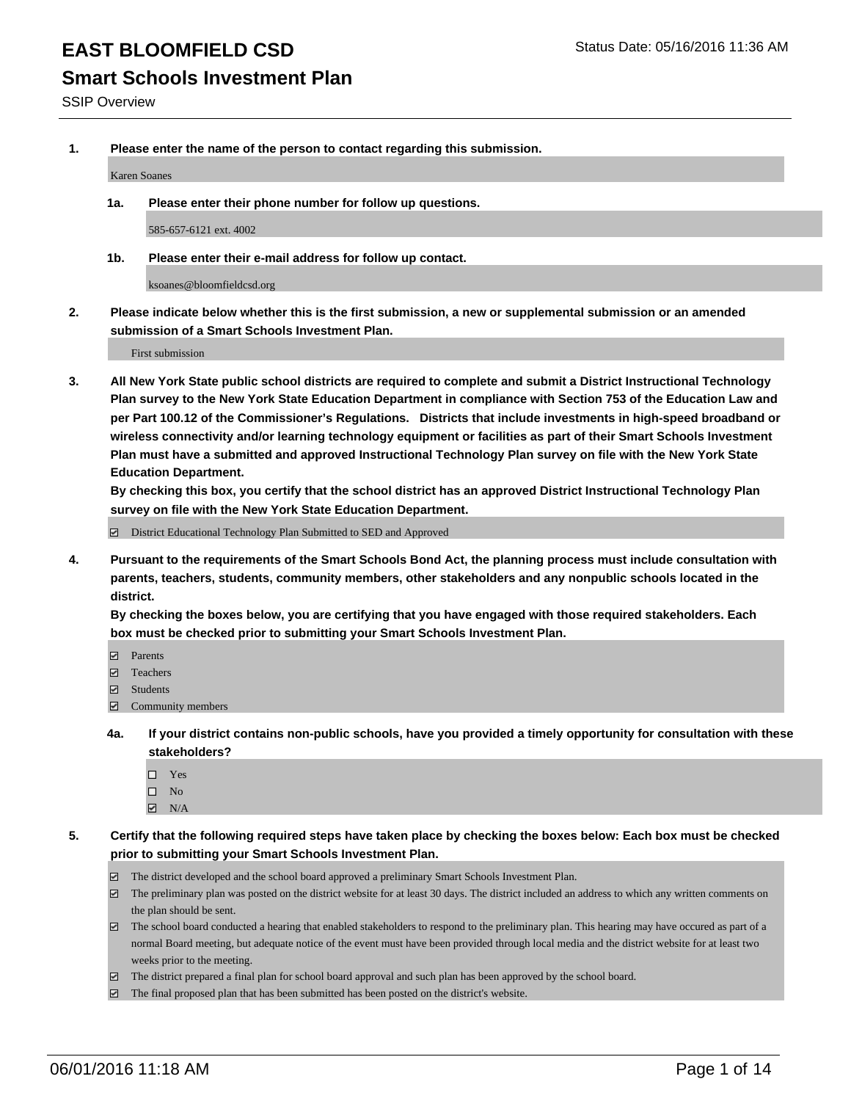### **Smart Schools Investment Plan**

SSIP Overview

**1. Please enter the name of the person to contact regarding this submission.**

Karen Soanes

**1a. Please enter their phone number for follow up questions.**

585-657-6121 ext. 4002

**1b. Please enter their e-mail address for follow up contact.**

ksoanes@bloomfieldcsd.org

**2. Please indicate below whether this is the first submission, a new or supplemental submission or an amended submission of a Smart Schools Investment Plan.**

First submission

**3. All New York State public school districts are required to complete and submit a District Instructional Technology Plan survey to the New York State Education Department in compliance with Section 753 of the Education Law and per Part 100.12 of the Commissioner's Regulations. Districts that include investments in high-speed broadband or wireless connectivity and/or learning technology equipment or facilities as part of their Smart Schools Investment Plan must have a submitted and approved Instructional Technology Plan survey on file with the New York State Education Department.** 

**By checking this box, you certify that the school district has an approved District Instructional Technology Plan survey on file with the New York State Education Department.**

■ District Educational Technology Plan Submitted to SED and Approved

**4. Pursuant to the requirements of the Smart Schools Bond Act, the planning process must include consultation with parents, teachers, students, community members, other stakeholders and any nonpublic schools located in the district.** 

**By checking the boxes below, you are certifying that you have engaged with those required stakeholders. Each box must be checked prior to submitting your Smart Schools Investment Plan.**

- **Parents**
- □ Teachers
- Students
- $\boxdot$  Community members
- **4a. If your district contains non-public schools, have you provided a timely opportunity for consultation with these stakeholders?**
	- □ Yes
	- $\square$  No
	- $\boxtimes$  N/A
- **5. Certify that the following required steps have taken place by checking the boxes below: Each box must be checked prior to submitting your Smart Schools Investment Plan.**
	- The district developed and the school board approved a preliminary Smart Schools Investment Plan.
	- The preliminary plan was posted on the district website for at least 30 days. The district included an address to which any written comments on the plan should be sent.
	- $\Box$  The school board conducted a hearing that enabled stakeholders to respond to the preliminary plan. This hearing may have occured as part of a normal Board meeting, but adequate notice of the event must have been provided through local media and the district website for at least two weeks prior to the meeting.
	- The district prepared a final plan for school board approval and such plan has been approved by the school board.
	- The final proposed plan that has been submitted has been posted on the district's website.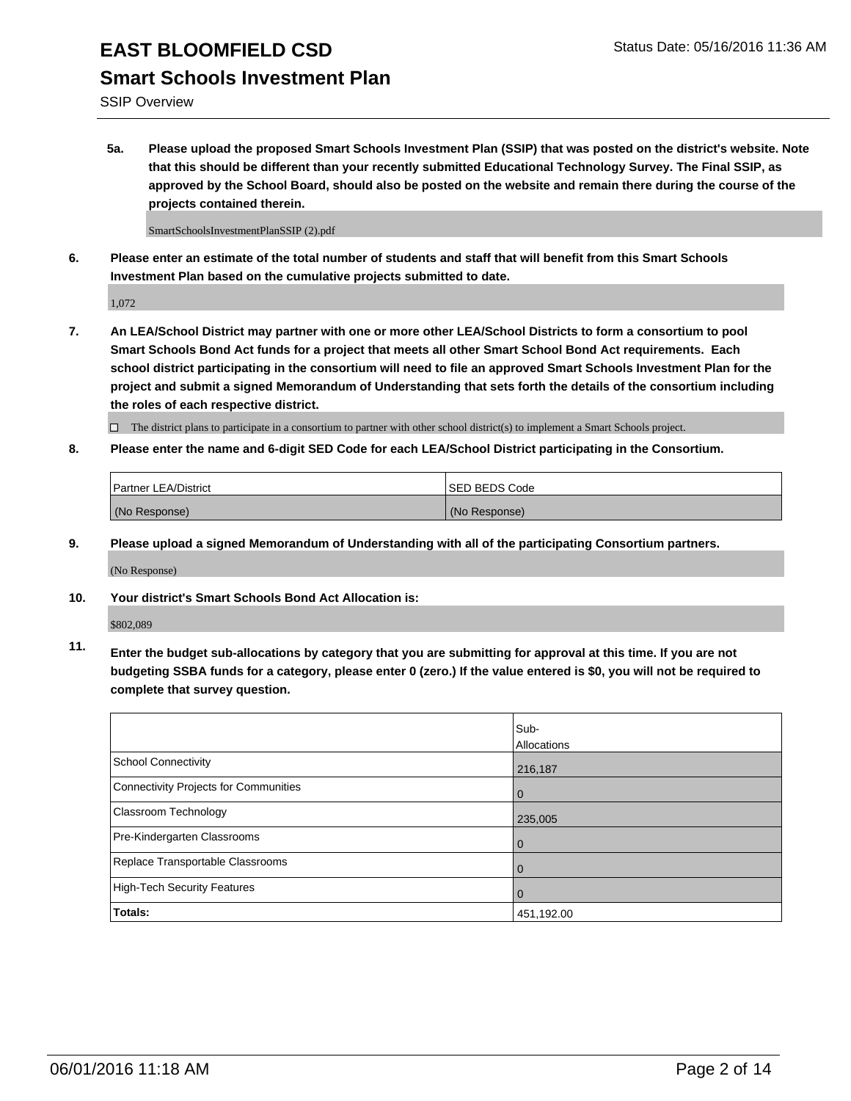SSIP Overview

**5a. Please upload the proposed Smart Schools Investment Plan (SSIP) that was posted on the district's website. Note that this should be different than your recently submitted Educational Technology Survey. The Final SSIP, as approved by the School Board, should also be posted on the website and remain there during the course of the projects contained therein.**

SmartSchoolsInvestmentPlanSSIP (2).pdf

**6. Please enter an estimate of the total number of students and staff that will benefit from this Smart Schools Investment Plan based on the cumulative projects submitted to date.**

1,072

**7. An LEA/School District may partner with one or more other LEA/School Districts to form a consortium to pool Smart Schools Bond Act funds for a project that meets all other Smart School Bond Act requirements. Each school district participating in the consortium will need to file an approved Smart Schools Investment Plan for the project and submit a signed Memorandum of Understanding that sets forth the details of the consortium including the roles of each respective district.**

 $\Box$  The district plans to participate in a consortium to partner with other school district(s) to implement a Smart Schools project.

**8. Please enter the name and 6-digit SED Code for each LEA/School District participating in the Consortium.**

| <b>Partner LEA/District</b> | <b>ISED BEDS Code</b> |
|-----------------------------|-----------------------|
| (No Response)               | (No Response)         |

**9. Please upload a signed Memorandum of Understanding with all of the participating Consortium partners.**

(No Response)

**10. Your district's Smart Schools Bond Act Allocation is:**

\$802,089

**11. Enter the budget sub-allocations by category that you are submitting for approval at this time. If you are not budgeting SSBA funds for a category, please enter 0 (zero.) If the value entered is \$0, you will not be required to complete that survey question.**

|                                       | Sub-<br>Allocations |
|---------------------------------------|---------------------|
| <b>School Connectivity</b>            | 216,187             |
| Connectivity Projects for Communities | $\Omega$            |
| Classroom Technology                  | 235,005             |
| Pre-Kindergarten Classrooms           | $\Omega$            |
| Replace Transportable Classrooms      | 0                   |
| High-Tech Security Features           | $\Omega$            |
| <b>Totals:</b>                        | 451,192.00          |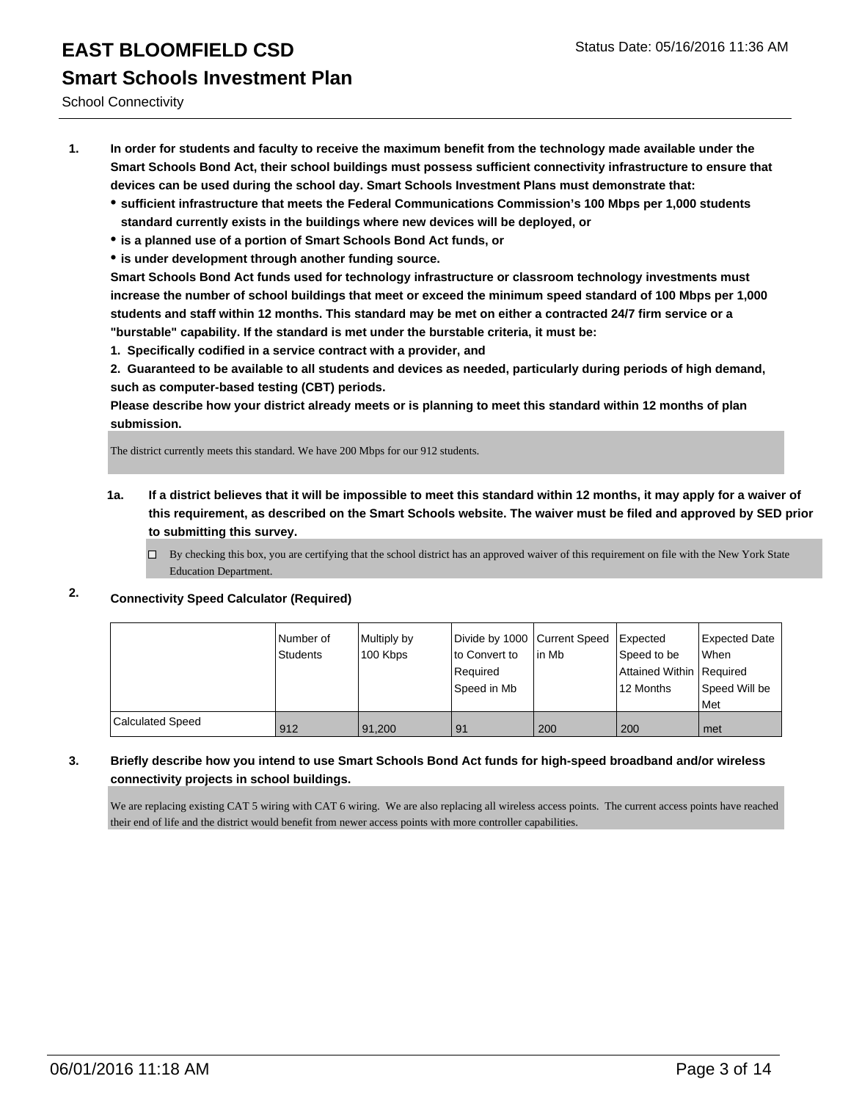School Connectivity

- **1. In order for students and faculty to receive the maximum benefit from the technology made available under the Smart Schools Bond Act, their school buildings must possess sufficient connectivity infrastructure to ensure that devices can be used during the school day. Smart Schools Investment Plans must demonstrate that:**
	- **sufficient infrastructure that meets the Federal Communications Commission's 100 Mbps per 1,000 students standard currently exists in the buildings where new devices will be deployed, or**
	- **is a planned use of a portion of Smart Schools Bond Act funds, or**
	- **is under development through another funding source.**

**Smart Schools Bond Act funds used for technology infrastructure or classroom technology investments must increase the number of school buildings that meet or exceed the minimum speed standard of 100 Mbps per 1,000 students and staff within 12 months. This standard may be met on either a contracted 24/7 firm service or a "burstable" capability. If the standard is met under the burstable criteria, it must be:**

**1. Specifically codified in a service contract with a provider, and**

**2. Guaranteed to be available to all students and devices as needed, particularly during periods of high demand, such as computer-based testing (CBT) periods.**

**Please describe how your district already meets or is planning to meet this standard within 12 months of plan submission.**

The district currently meets this standard. We have 200 Mbps for our 912 students.

- **1a. If a district believes that it will be impossible to meet this standard within 12 months, it may apply for a waiver of this requirement, as described on the Smart Schools website. The waiver must be filed and approved by SED prior to submitting this survey.**
	- By checking this box, you are certifying that the school district has an approved waiver of this requirement on file with the New York State Education Department.

#### **2. Connectivity Speed Calculator (Required)**

|                         | Number of<br>Students | Multiply by<br>100 Kbps | Divide by 1000 Current Speed   Expected<br>Ito Convert to<br>Required<br>Speed in Mb | lin Mb | Speed to be<br>Attained Within   Required<br>12 Months | Expected Date<br><b>When</b><br>Speed Will be<br><b>Met</b> |
|-------------------------|-----------------------|-------------------------|--------------------------------------------------------------------------------------|--------|--------------------------------------------------------|-------------------------------------------------------------|
| <b>Calculated Speed</b> | 912                   | 91.200                  | 91                                                                                   | 200    | 200                                                    | l met                                                       |

#### **3. Briefly describe how you intend to use Smart Schools Bond Act funds for high-speed broadband and/or wireless connectivity projects in school buildings.**

We are replacing existing CAT 5 wiring with CAT 6 wiring. We are also replacing all wireless access points. The current access points have reached their end of life and the district would benefit from newer access points with more controller capabilities.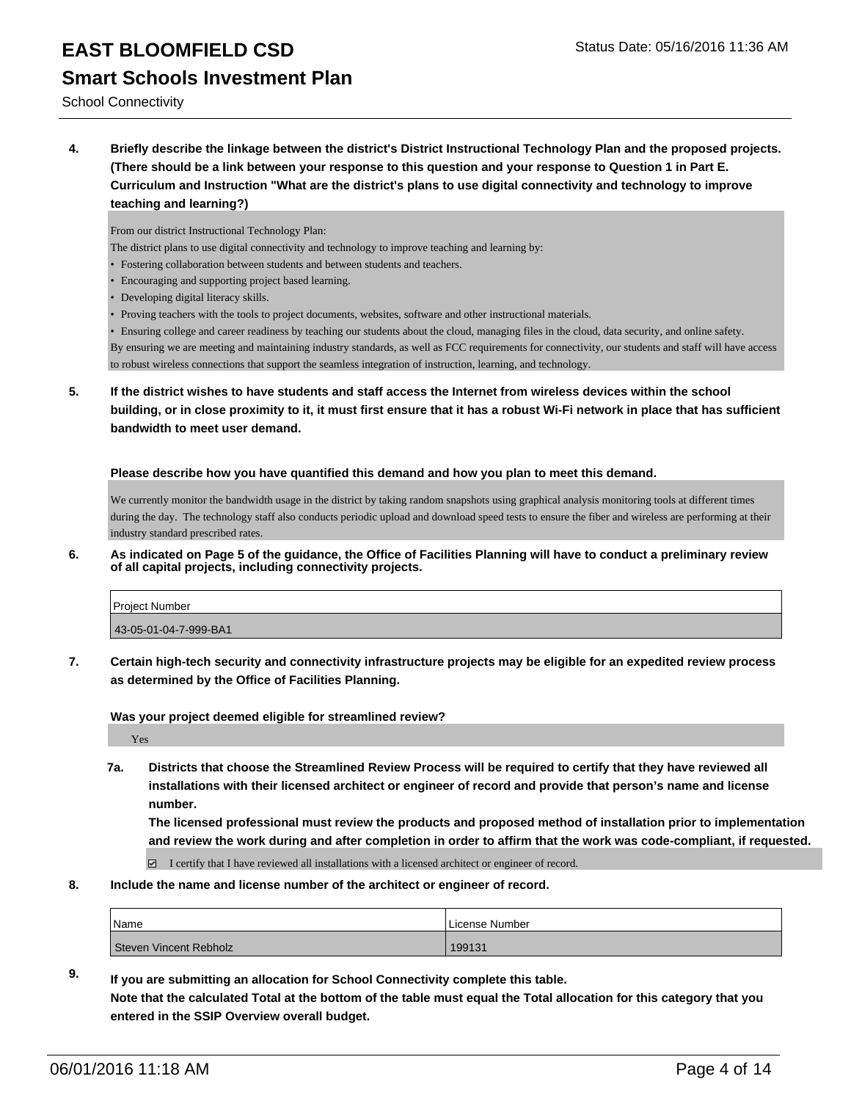School Connectivity

**4. Briefly describe the linkage between the district's District Instructional Technology Plan and the proposed projects. (There should be a link between your response to this question and your response to Question 1 in Part E. Curriculum and Instruction "What are the district's plans to use digital connectivity and technology to improve teaching and learning?)**

From our district Instructional Technology Plan:

- The district plans to use digital connectivity and technology to improve teaching and learning by:
- Fostering collaboration between students and between students and teachers.
- Encouraging and supporting project based learning.
- Developing digital literacy skills.
- Proving teachers with the tools to project documents, websites, software and other instructional materials.
- Ensuring college and career readiness by teaching our students about the cloud, managing files in the cloud, data security, and online safety.

By ensuring we are meeting and maintaining industry standards, as well as FCC requirements for connectivity, our students and staff will have access to robust wireless connections that support the seamless integration of instruction, learning, and technology.

**5. If the district wishes to have students and staff access the Internet from wireless devices within the school building, or in close proximity to it, it must first ensure that it has a robust Wi-Fi network in place that has sufficient bandwidth to meet user demand.**

#### **Please describe how you have quantified this demand and how you plan to meet this demand.**

We currently monitor the bandwidth usage in the district by taking random snapshots using graphical analysis monitoring tools at different times during the day. The technology staff also conducts periodic upload and download speed tests to ensure the fiber and wireless are performing at their industry standard prescribed rates.

**6. As indicated on Page 5 of the guidance, the Office of Facilities Planning will have to conduct a preliminary review of all capital projects, including connectivity projects.**

| Project Number        |  |
|-----------------------|--|
| 43-05-01-04-7-999-BA1 |  |

**7. Certain high-tech security and connectivity infrastructure projects may be eligible for an expedited review process as determined by the Office of Facilities Planning.**

**Was your project deemed eligible for streamlined review?**

Yes

**7a. Districts that choose the Streamlined Review Process will be required to certify that they have reviewed all installations with their licensed architect or engineer of record and provide that person's name and license number.**

**The licensed professional must review the products and proposed method of installation prior to implementation and review the work during and after completion in order to affirm that the work was code-compliant, if requested.**

 $\boxdot$  I certify that I have reviewed all installations with a licensed architect or engineer of record.

**8. Include the name and license number of the architect or engineer of record.**

| <i>N</i> ame           | License Number |
|------------------------|----------------|
| Steven Vincent Rebholz | 199131         |

**9. If you are submitting an allocation for School Connectivity complete this table. Note that the calculated Total at the bottom of the table must equal the Total allocation for this category that you entered in the SSIP Overview overall budget.**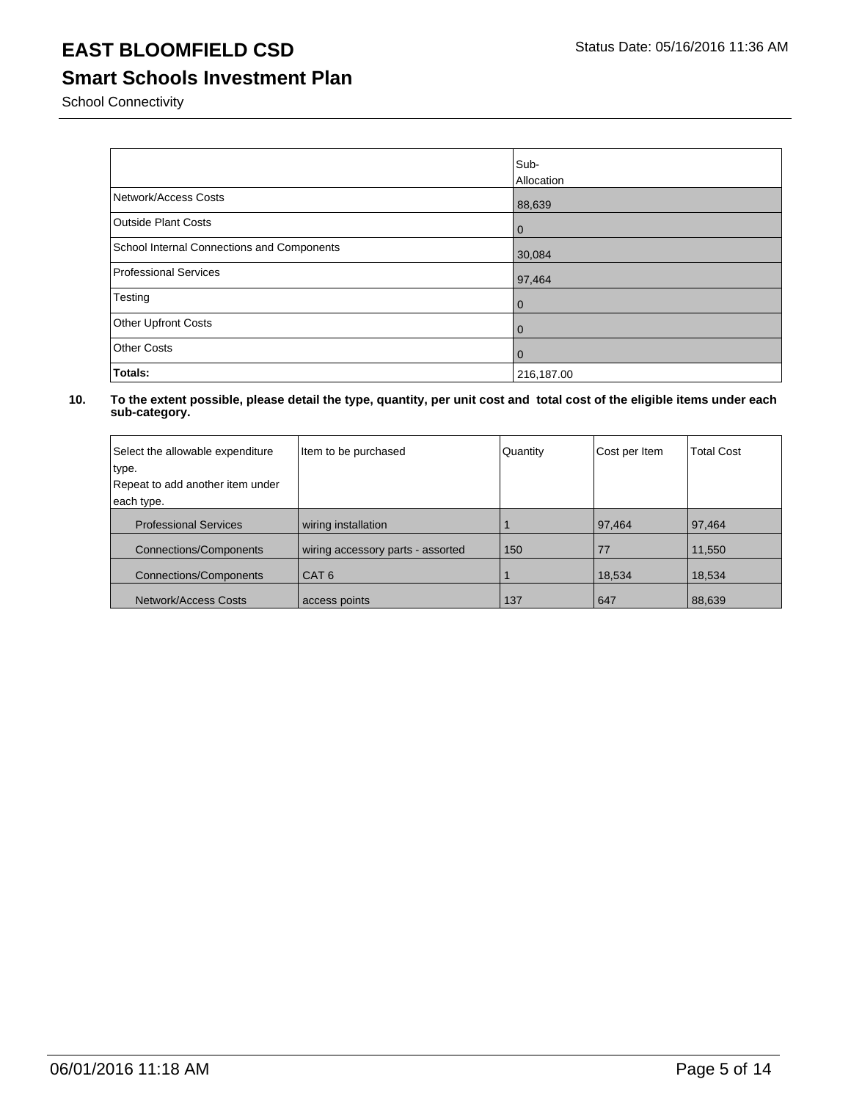# **Smart Schools Investment Plan**

School Connectivity

|                                            | Sub-<br>Allocation |
|--------------------------------------------|--------------------|
| Network/Access Costs                       | 88,639             |
| <b>Outside Plant Costs</b>                 | $\overline{0}$     |
| School Internal Connections and Components | 30,084             |
| Professional Services                      | 97,464             |
| Testing                                    | $\overline{0}$     |
| <b>Other Upfront Costs</b>                 | $\overline{0}$     |
| <b>Other Costs</b>                         | $\overline{0}$     |
| Totals:                                    | 216,187.00         |

| Select the allowable expenditure | Item to be purchased              | Quantity | Cost per Item | <b>Total Cost</b> |
|----------------------------------|-----------------------------------|----------|---------------|-------------------|
| type.                            |                                   |          |               |                   |
| Repeat to add another item under |                                   |          |               |                   |
| each type.                       |                                   |          |               |                   |
| <b>Professional Services</b>     | wiring installation               |          | 97,464        | 97,464            |
| Connections/Components           | wiring accessory parts - assorted | 150      | 77            | 11,550            |
| Connections/Components           | I CAT 6                           |          | 18,534        | 18,534            |
| Network/Access Costs             | access points                     | 137      | 647           | 88,639            |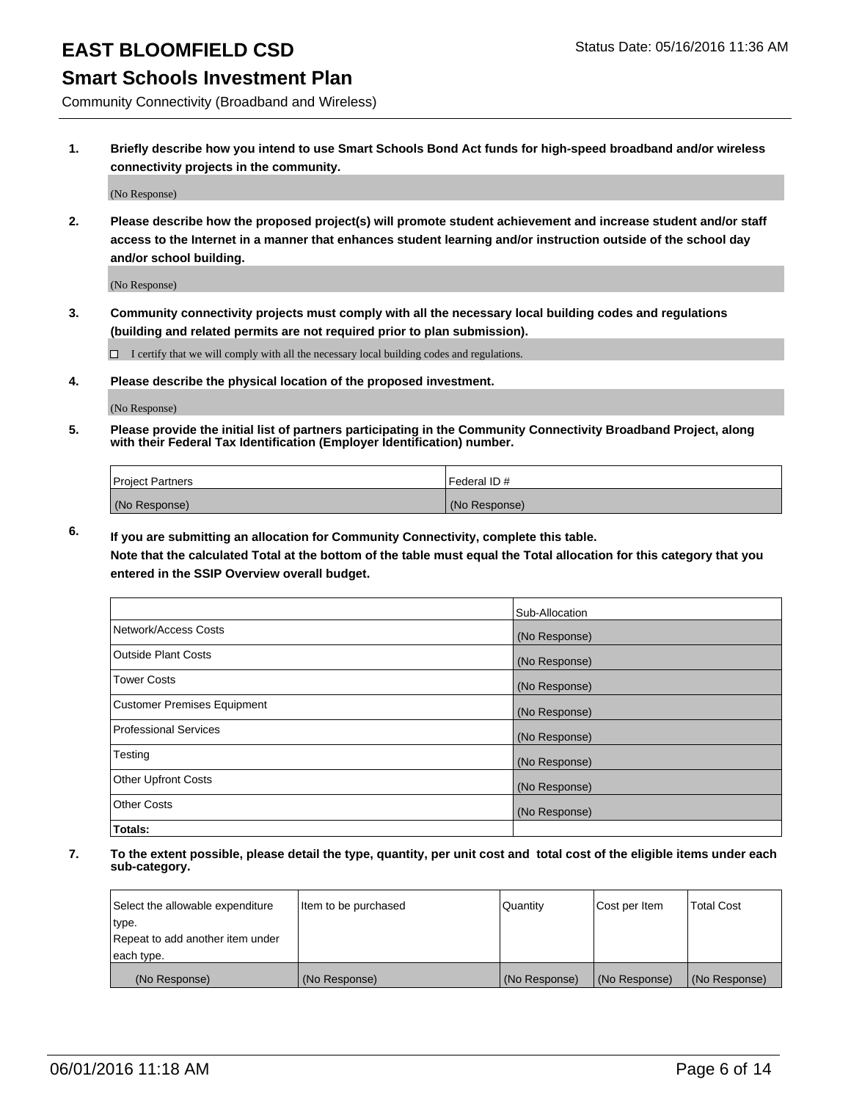### **Smart Schools Investment Plan**

Community Connectivity (Broadband and Wireless)

**1. Briefly describe how you intend to use Smart Schools Bond Act funds for high-speed broadband and/or wireless connectivity projects in the community.**

(No Response)

**2. Please describe how the proposed project(s) will promote student achievement and increase student and/or staff access to the Internet in a manner that enhances student learning and/or instruction outside of the school day and/or school building.**

(No Response)

**3. Community connectivity projects must comply with all the necessary local building codes and regulations (building and related permits are not required prior to plan submission).**

 $\Box$  I certify that we will comply with all the necessary local building codes and regulations.

**4. Please describe the physical location of the proposed investment.**

(No Response)

**5. Please provide the initial list of partners participating in the Community Connectivity Broadband Project, along with their Federal Tax Identification (Employer Identification) number.**

| <b>Project Partners</b> | <b>IFederal ID#</b> |
|-------------------------|---------------------|
| (No Response)           | (No Response)       |

**6. If you are submitting an allocation for Community Connectivity, complete this table.**

**Note that the calculated Total at the bottom of the table must equal the Total allocation for this category that you entered in the SSIP Overview overall budget.**

|                                    | Sub-Allocation |
|------------------------------------|----------------|
| Network/Access Costs               | (No Response)  |
| Outside Plant Costs                | (No Response)  |
| <b>Tower Costs</b>                 | (No Response)  |
| <b>Customer Premises Equipment</b> | (No Response)  |
| Professional Services              | (No Response)  |
| Testing                            | (No Response)  |
| <b>Other Upfront Costs</b>         | (No Response)  |
| <b>Other Costs</b>                 | (No Response)  |
| Totals:                            |                |

| Select the allowable expenditure | Item to be purchased | Quantity      | Cost per Item | <b>Total Cost</b> |
|----------------------------------|----------------------|---------------|---------------|-------------------|
| 'type.                           |                      |               |               |                   |
| Repeat to add another item under |                      |               |               |                   |
| each type.                       |                      |               |               |                   |
| (No Response)                    | (No Response)        | (No Response) | (No Response) | (No Response)     |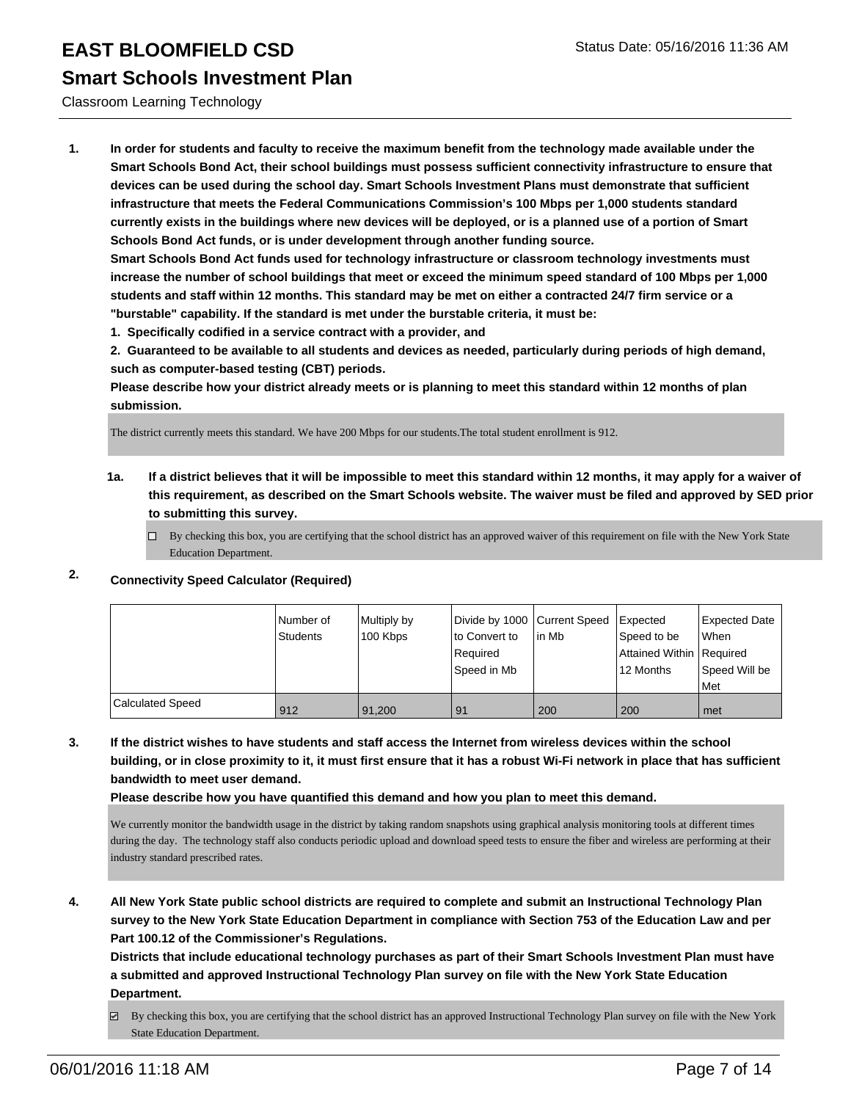#### Classroom Learning Technology

**1. In order for students and faculty to receive the maximum benefit from the technology made available under the Smart Schools Bond Act, their school buildings must possess sufficient connectivity infrastructure to ensure that devices can be used during the school day. Smart Schools Investment Plans must demonstrate that sufficient infrastructure that meets the Federal Communications Commission's 100 Mbps per 1,000 students standard currently exists in the buildings where new devices will be deployed, or is a planned use of a portion of Smart Schools Bond Act funds, or is under development through another funding source.**

**Smart Schools Bond Act funds used for technology infrastructure or classroom technology investments must increase the number of school buildings that meet or exceed the minimum speed standard of 100 Mbps per 1,000 students and staff within 12 months. This standard may be met on either a contracted 24/7 firm service or a "burstable" capability. If the standard is met under the burstable criteria, it must be:**

**1. Specifically codified in a service contract with a provider, and**

**2. Guaranteed to be available to all students and devices as needed, particularly during periods of high demand, such as computer-based testing (CBT) periods.**

**Please describe how your district already meets or is planning to meet this standard within 12 months of plan submission.**

The district currently meets this standard. We have 200 Mbps for our students.The total student enrollment is 912.

**1a. If a district believes that it will be impossible to meet this standard within 12 months, it may apply for a waiver of this requirement, as described on the Smart Schools website. The waiver must be filed and approved by SED prior to submitting this survey.**

 $\Box$  By checking this box, you are certifying that the school district has an approved waiver of this requirement on file with the New York State Education Department.

#### **2. Connectivity Speed Calculator (Required)**

|                         | Number of<br>Students | Multiply by<br>100 Kbps | Divide by 1000 Current Speed<br>Ito Convert to<br>Required<br> Speed in Mb | lin Mb | <b>I</b> Expected<br>Speed to be<br>Attained Within   Required<br>12 Months | <b>Expected Date</b><br><b>When</b><br>Speed Will be<br>l Met |
|-------------------------|-----------------------|-------------------------|----------------------------------------------------------------------------|--------|-----------------------------------------------------------------------------|---------------------------------------------------------------|
| <b>Calculated Speed</b> | 912                   | 91.200                  | 91                                                                         | 200    | 200                                                                         | ∣met                                                          |

**3. If the district wishes to have students and staff access the Internet from wireless devices within the school building, or in close proximity to it, it must first ensure that it has a robust Wi-Fi network in place that has sufficient bandwidth to meet user demand.**

**Please describe how you have quantified this demand and how you plan to meet this demand.**

We currently monitor the bandwidth usage in the district by taking random snapshots using graphical analysis monitoring tools at different times during the day. The technology staff also conducts periodic upload and download speed tests to ensure the fiber and wireless are performing at their industry standard prescribed rates.

**4. All New York State public school districts are required to complete and submit an Instructional Technology Plan survey to the New York State Education Department in compliance with Section 753 of the Education Law and per Part 100.12 of the Commissioner's Regulations.**

**Districts that include educational technology purchases as part of their Smart Schools Investment Plan must have a submitted and approved Instructional Technology Plan survey on file with the New York State Education Department.**

By checking this box, you are certifying that the school district has an approved Instructional Technology Plan survey on file with the New York State Education Department.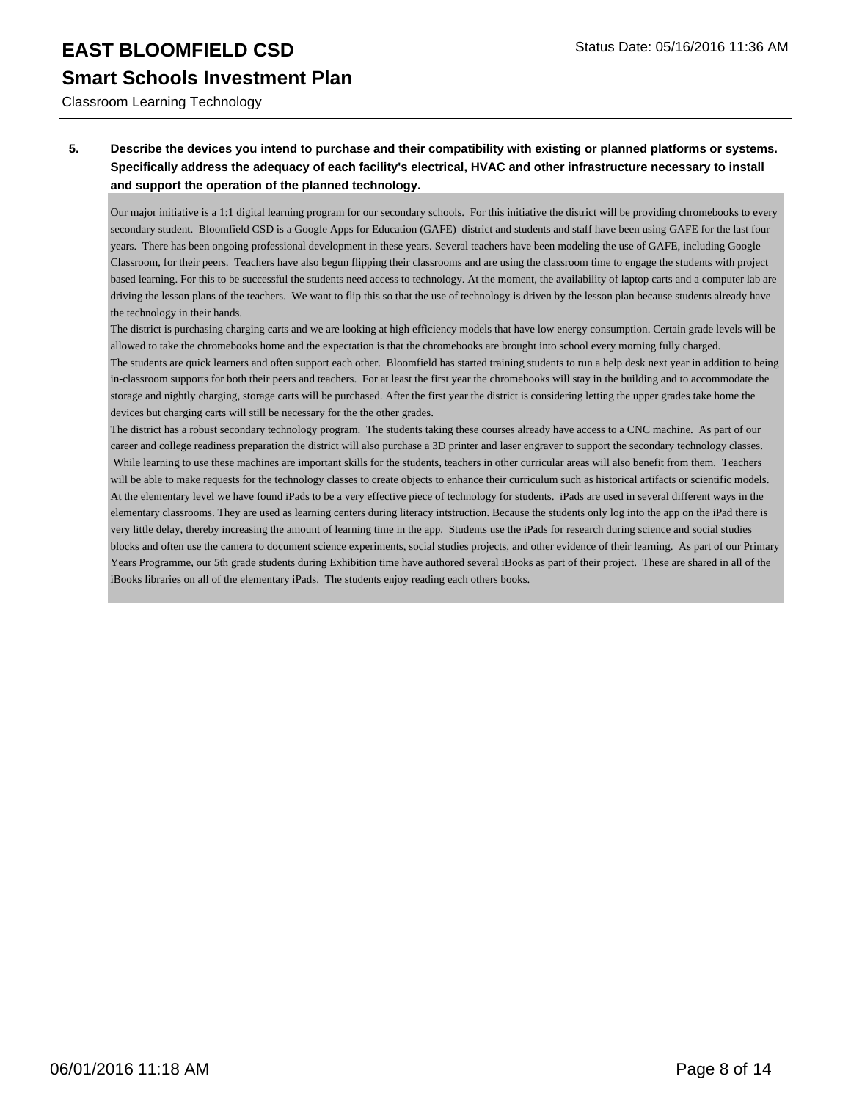Classroom Learning Technology

#### **5. Describe the devices you intend to purchase and their compatibility with existing or planned platforms or systems. Specifically address the adequacy of each facility's electrical, HVAC and other infrastructure necessary to install and support the operation of the planned technology.**

Our major initiative is a 1:1 digital learning program for our secondary schools. For this initiative the district will be providing chromebooks to every secondary student. Bloomfield CSD is a Google Apps for Education (GAFE) district and students and staff have been using GAFE for the last four years. There has been ongoing professional development in these years. Several teachers have been modeling the use of GAFE, including Google Classroom, for their peers. Teachers have also begun flipping their classrooms and are using the classroom time to engage the students with project based learning. For this to be successful the students need access to technology. At the moment, the availability of laptop carts and a computer lab are driving the lesson plans of the teachers. We want to flip this so that the use of technology is driven by the lesson plan because students already have the technology in their hands.

The district is purchasing charging carts and we are looking at high efficiency models that have low energy consumption. Certain grade levels will be allowed to take the chromebooks home and the expectation is that the chromebooks are brought into school every morning fully charged. The students are quick learners and often support each other. Bloomfield has started training students to run a help desk next year in addition to being in-classroom supports for both their peers and teachers. For at least the first year the chromebooks will stay in the building and to accommodate the storage and nightly charging, storage carts will be purchased. After the first year the district is considering letting the upper grades take home the devices but charging carts will still be necessary for the the other grades.

The district has a robust secondary technology program. The students taking these courses already have access to a CNC machine. As part of our career and college readiness preparation the district will also purchase a 3D printer and laser engraver to support the secondary technology classes. While learning to use these machines are important skills for the students, teachers in other curricular areas will also benefit from them. Teachers will be able to make requests for the technology classes to create objects to enhance their curriculum such as historical artifacts or scientific models. At the elementary level we have found iPads to be a very effective piece of technology for students. iPads are used in several different ways in the elementary classrooms. They are used as learning centers during literacy intstruction. Because the students only log into the app on the iPad there is very little delay, thereby increasing the amount of learning time in the app. Students use the iPads for research during science and social studies blocks and often use the camera to document science experiments, social studies projects, and other evidence of their learning. As part of our Primary Years Programme, our 5th grade students during Exhibition time have authored several iBooks as part of their project. These are shared in all of the iBooks libraries on all of the elementary iPads. The students enjoy reading each others books.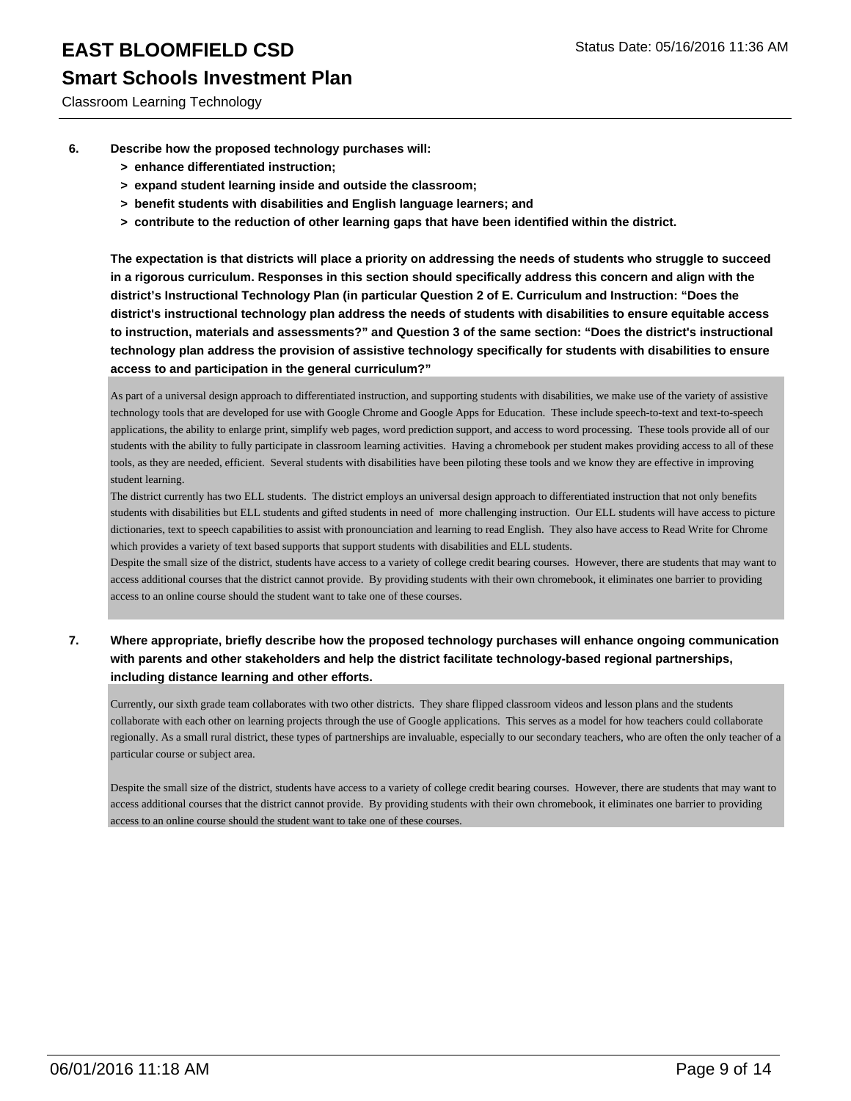Classroom Learning Technology

- **6. Describe how the proposed technology purchases will:**
	- **> enhance differentiated instruction;**
	- **> expand student learning inside and outside the classroom;**
	- **> benefit students with disabilities and English language learners; and**
	- **> contribute to the reduction of other learning gaps that have been identified within the district.**

**The expectation is that districts will place a priority on addressing the needs of students who struggle to succeed in a rigorous curriculum. Responses in this section should specifically address this concern and align with the district's Instructional Technology Plan (in particular Question 2 of E. Curriculum and Instruction: "Does the district's instructional technology plan address the needs of students with disabilities to ensure equitable access to instruction, materials and assessments?" and Question 3 of the same section: "Does the district's instructional technology plan address the provision of assistive technology specifically for students with disabilities to ensure access to and participation in the general curriculum?"**

As part of a universal design approach to differentiated instruction, and supporting students with disabilities, we make use of the variety of assistive technology tools that are developed for use with Google Chrome and Google Apps for Education. These include speech-to-text and text-to-speech applications, the ability to enlarge print, simplify web pages, word prediction support, and access to word processing. These tools provide all of our students with the ability to fully participate in classroom learning activities. Having a chromebook per student makes providing access to all of these tools, as they are needed, efficient. Several students with disabilities have been piloting these tools and we know they are effective in improving student learning.

The district currently has two ELL students. The district employs an universal design approach to differentiated instruction that not only benefits students with disabilities but ELL students and gifted students in need of more challenging instruction. Our ELL students will have access to picture dictionaries, text to speech capabilities to assist with pronounciation and learning to read English. They also have access to Read Write for Chrome which provides a variety of text based supports that support students with disabilities and ELL students.

Despite the small size of the district, students have access to a variety of college credit bearing courses. However, there are students that may want to access additional courses that the district cannot provide. By providing students with their own chromebook, it eliminates one barrier to providing access to an online course should the student want to take one of these courses.

#### **7. Where appropriate, briefly describe how the proposed technology purchases will enhance ongoing communication with parents and other stakeholders and help the district facilitate technology-based regional partnerships, including distance learning and other efforts.**

Currently, our sixth grade team collaborates with two other districts. They share flipped classroom videos and lesson plans and the students collaborate with each other on learning projects through the use of Google applications. This serves as a model for how teachers could collaborate regionally. As a small rural district, these types of partnerships are invaluable, especially to our secondary teachers, who are often the only teacher of a particular course or subject area.

Despite the small size of the district, students have access to a variety of college credit bearing courses. However, there are students that may want to access additional courses that the district cannot provide. By providing students with their own chromebook, it eliminates one barrier to providing access to an online course should the student want to take one of these courses.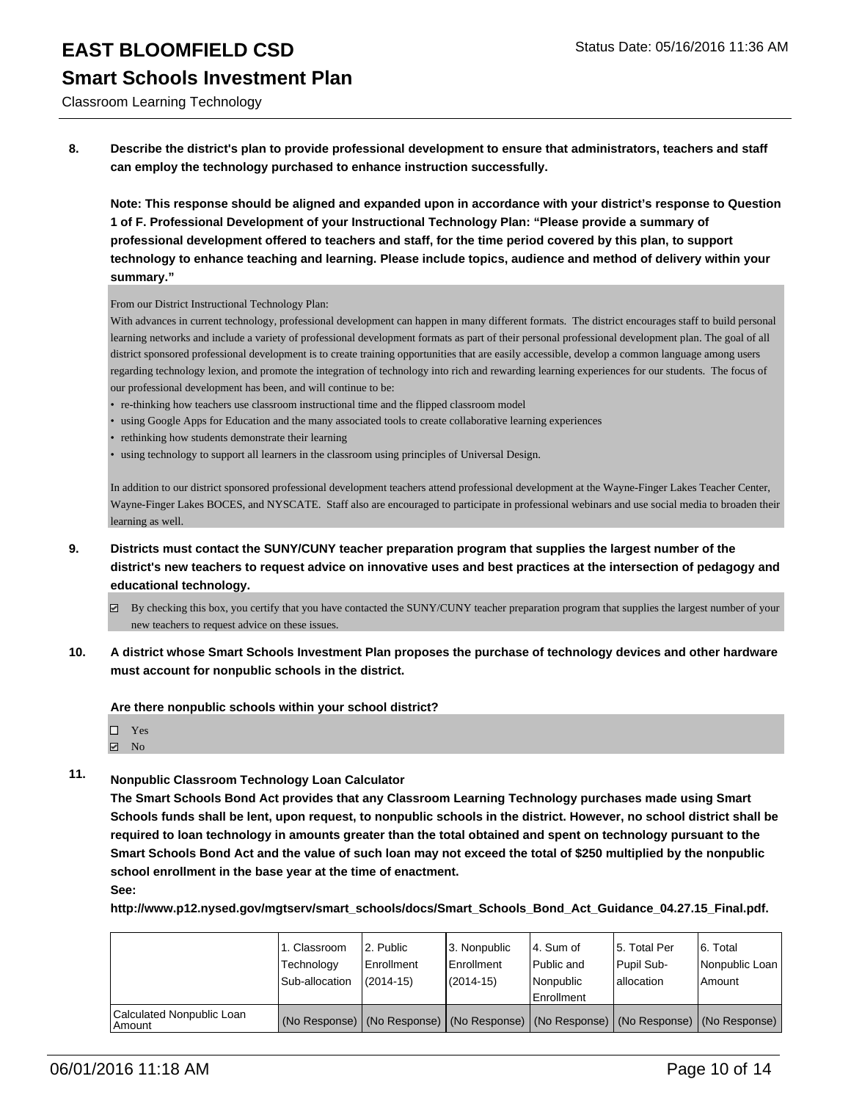Classroom Learning Technology

**8. Describe the district's plan to provide professional development to ensure that administrators, teachers and staff can employ the technology purchased to enhance instruction successfully.**

**Note: This response should be aligned and expanded upon in accordance with your district's response to Question 1 of F. Professional Development of your Instructional Technology Plan: "Please provide a summary of professional development offered to teachers and staff, for the time period covered by this plan, to support technology to enhance teaching and learning. Please include topics, audience and method of delivery within your summary."**

From our District Instructional Technology Plan:

With advances in current technology, professional development can happen in many different formats. The district encourages staff to build personal learning networks and include a variety of professional development formats as part of their personal professional development plan. The goal of all district sponsored professional development is to create training opportunities that are easily accessible, develop a common language among users regarding technology lexion, and promote the integration of technology into rich and rewarding learning experiences for our students. The focus of our professional development has been, and will continue to be:

- re-thinking how teachers use classroom instructional time and the flipped classroom model
- using Google Apps for Education and the many associated tools to create collaborative learning experiences
- rethinking how students demonstrate their learning
- using technology to support all learners in the classroom using principles of Universal Design.

In addition to our district sponsored professional development teachers attend professional development at the Wayne-Finger Lakes Teacher Center, Wayne-Finger Lakes BOCES, and NYSCATE. Staff also are encouraged to participate in professional webinars and use social media to broaden their learning as well.

- **9. Districts must contact the SUNY/CUNY teacher preparation program that supplies the largest number of the district's new teachers to request advice on innovative uses and best practices at the intersection of pedagogy and educational technology.**
	- By checking this box, you certify that you have contacted the SUNY/CUNY teacher preparation program that supplies the largest number of your new teachers to request advice on these issues.
- **10. A district whose Smart Schools Investment Plan proposes the purchase of technology devices and other hardware must account for nonpublic schools in the district.**

**Are there nonpublic schools within your school district?**

- □ Yes
- $\blacksquare$  No

#### **11. Nonpublic Classroom Technology Loan Calculator**

**The Smart Schools Bond Act provides that any Classroom Learning Technology purchases made using Smart Schools funds shall be lent, upon request, to nonpublic schools in the district. However, no school district shall be required to loan technology in amounts greater than the total obtained and spent on technology pursuant to the Smart Schools Bond Act and the value of such loan may not exceed the total of \$250 multiplied by the nonpublic school enrollment in the base year at the time of enactment.**

**See:**

**http://www.p12.nysed.gov/mgtserv/smart\_schools/docs/Smart\_Schools\_Bond\_Act\_Guidance\_04.27.15\_Final.pdf.**

|                                       | 1. Classroom<br>Technology<br>Sub-allocation | 2. Public<br>Enrollment<br>$(2014 - 15)$ | 3. Nonpublic<br>Enrollment<br>(2014-15) | l 4. Sum of<br>Public and<br>Nonpublic<br>l Enrollment | 15. Total Per<br>Pupil Sub-<br>Iallocation                                                    | 6. Total<br>Nonpublic Loan  <br>Amount |
|---------------------------------------|----------------------------------------------|------------------------------------------|-----------------------------------------|--------------------------------------------------------|-----------------------------------------------------------------------------------------------|----------------------------------------|
| Calculated Nonpublic Loan<br>l Amount |                                              |                                          |                                         |                                                        | (No Response)   (No Response)   (No Response)   (No Response)   (No Response)   (No Response) |                                        |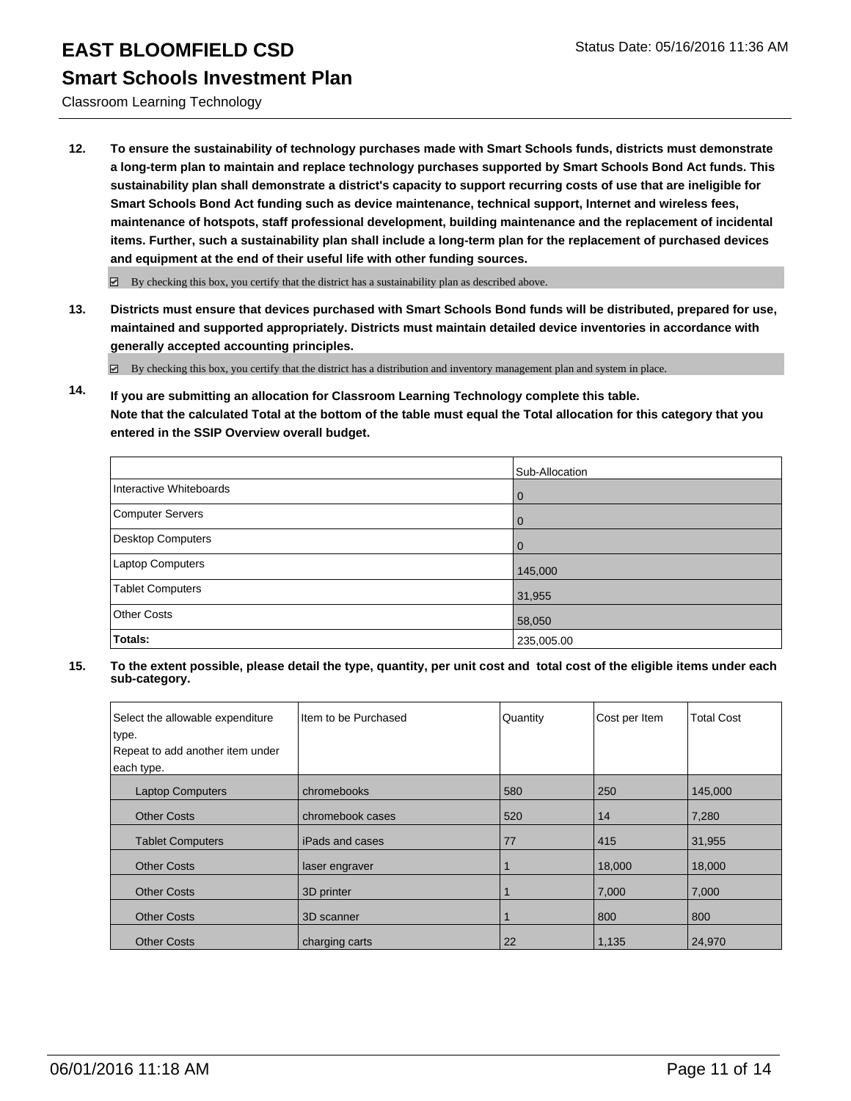Classroom Learning Technology

**12. To ensure the sustainability of technology purchases made with Smart Schools funds, districts must demonstrate a long-term plan to maintain and replace technology purchases supported by Smart Schools Bond Act funds. This sustainability plan shall demonstrate a district's capacity to support recurring costs of use that are ineligible for Smart Schools Bond Act funding such as device maintenance, technical support, Internet and wireless fees, maintenance of hotspots, staff professional development, building maintenance and the replacement of incidental items. Further, such a sustainability plan shall include a long-term plan for the replacement of purchased devices and equipment at the end of their useful life with other funding sources.**

 $\boxdot$  By checking this box, you certify that the district has a sustainability plan as described above.

**13. Districts must ensure that devices purchased with Smart Schools Bond funds will be distributed, prepared for use, maintained and supported appropriately. Districts must maintain detailed device inventories in accordance with generally accepted accounting principles.**

By checking this box, you certify that the district has a distribution and inventory management plan and system in place.

**14. If you are submitting an allocation for Classroom Learning Technology complete this table. Note that the calculated Total at the bottom of the table must equal the Total allocation for this category that you entered in the SSIP Overview overall budget.**

|                          | Sub-Allocation |
|--------------------------|----------------|
| Interactive Whiteboards  | 0              |
| Computer Servers         | 0              |
| <b>Desktop Computers</b> | O              |
| Laptop Computers         | 145,000        |
| <b>Tablet Computers</b>  | 31,955         |
| <b>Other Costs</b>       | 58,050         |
| Totals:                  | 235,005.00     |

| Select the allowable expenditure<br>type. | I Item to be Purchased | Quantity | Cost per Item | <b>Total Cost</b> |
|-------------------------------------------|------------------------|----------|---------------|-------------------|
| Repeat to add another item under          |                        |          |               |                   |
|                                           |                        |          |               |                   |
| each type.                                |                        |          |               |                   |
| <b>Laptop Computers</b>                   | chromebooks            | 580      | 250           | 145,000           |
| <b>Other Costs</b>                        | chromebook cases       | 520      | 14            | 7,280             |
| <b>Tablet Computers</b>                   | iPads and cases        | 77       | 415           | 31,955            |
| <b>Other Costs</b>                        | laser engraver         |          | 18,000        | 18,000            |
| <b>Other Costs</b>                        | 3D printer             |          | 7,000         | 7,000             |
| <b>Other Costs</b>                        | 3D scanner             |          | 800           | 800               |
| <b>Other Costs</b>                        | charging carts         | 22       | 1,135         | 24,970            |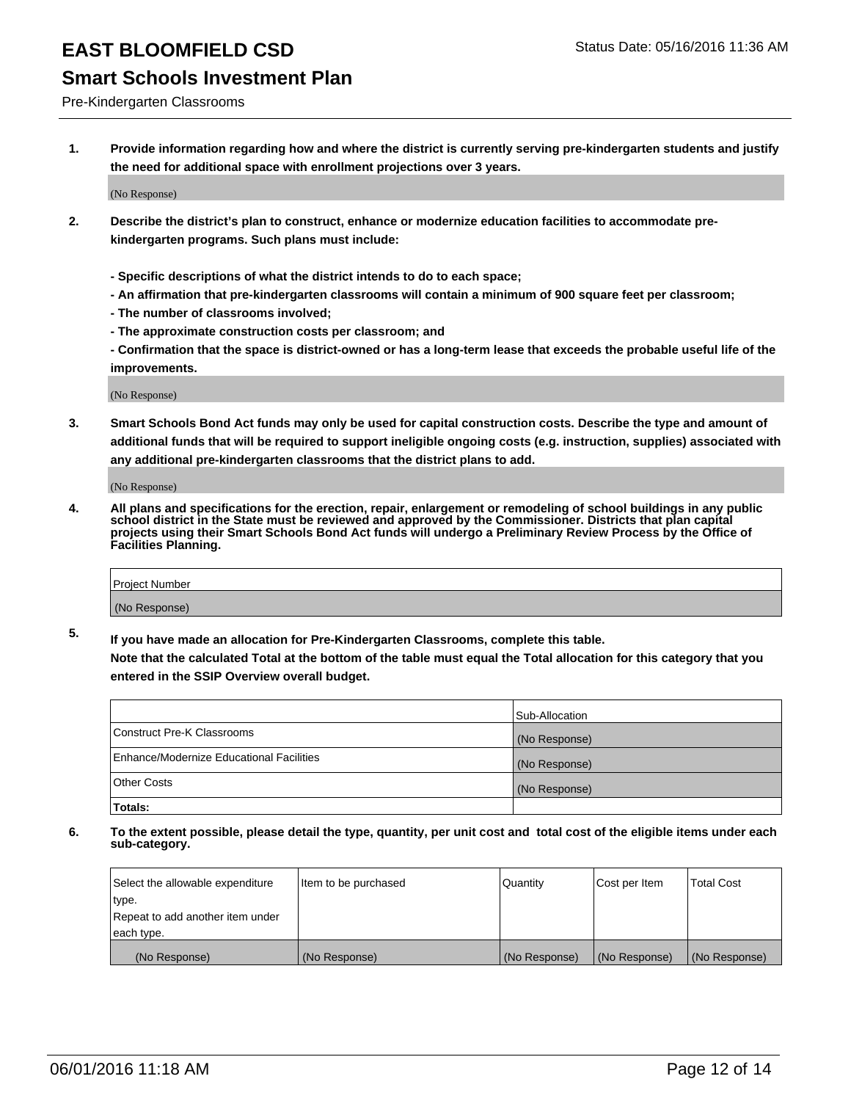Pre-Kindergarten Classrooms

**1. Provide information regarding how and where the district is currently serving pre-kindergarten students and justify the need for additional space with enrollment projections over 3 years.**

(No Response)

- **2. Describe the district's plan to construct, enhance or modernize education facilities to accommodate prekindergarten programs. Such plans must include:**
	- **Specific descriptions of what the district intends to do to each space;**
	- **An affirmation that pre-kindergarten classrooms will contain a minimum of 900 square feet per classroom;**
	- **The number of classrooms involved;**
	- **The approximate construction costs per classroom; and**
	- **Confirmation that the space is district-owned or has a long-term lease that exceeds the probable useful life of the improvements.**

(No Response)

**3. Smart Schools Bond Act funds may only be used for capital construction costs. Describe the type and amount of additional funds that will be required to support ineligible ongoing costs (e.g. instruction, supplies) associated with any additional pre-kindergarten classrooms that the district plans to add.**

(No Response)

**4. All plans and specifications for the erection, repair, enlargement or remodeling of school buildings in any public school district in the State must be reviewed and approved by the Commissioner. Districts that plan capital projects using their Smart Schools Bond Act funds will undergo a Preliminary Review Process by the Office of Facilities Planning.**

| Project Number |  |
|----------------|--|
| (No Response)  |  |

**5. If you have made an allocation for Pre-Kindergarten Classrooms, complete this table. Note that the calculated Total at the bottom of the table must equal the Total allocation for this category that you**

**entered in the SSIP Overview overall budget.**

|                                          | Sub-Allocation |
|------------------------------------------|----------------|
| Construct Pre-K Classrooms               | (No Response)  |
| Enhance/Modernize Educational Facilities | (No Response)  |
| Other Costs                              | (No Response)  |
| Totals:                                  |                |

| Select the allowable expenditure | Item to be purchased | l Quantitv    | Cost per Item | <b>Total Cost</b> |
|----------------------------------|----------------------|---------------|---------------|-------------------|
| type.                            |                      |               |               |                   |
| Repeat to add another item under |                      |               |               |                   |
| each type.                       |                      |               |               |                   |
| (No Response)                    | (No Response)        | (No Response) | (No Response) | (No Response)     |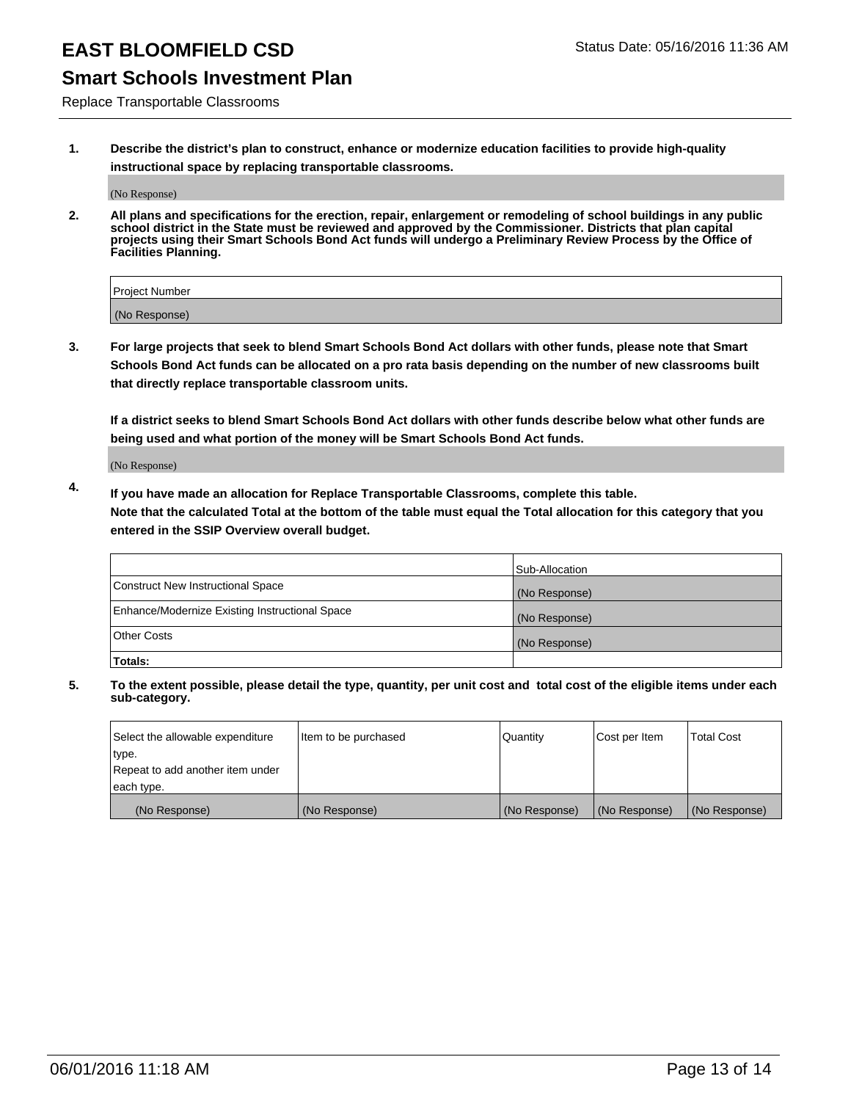## **Smart Schools Investment Plan**

Replace Transportable Classrooms

**1. Describe the district's plan to construct, enhance or modernize education facilities to provide high-quality instructional space by replacing transportable classrooms.**

(No Response)

**2. All plans and specifications for the erection, repair, enlargement or remodeling of school buildings in any public school district in the State must be reviewed and approved by the Commissioner. Districts that plan capital projects using their Smart Schools Bond Act funds will undergo a Preliminary Review Process by the Office of Facilities Planning.**

| Project Number |  |
|----------------|--|
| (No Response)  |  |

**3. For large projects that seek to blend Smart Schools Bond Act dollars with other funds, please note that Smart Schools Bond Act funds can be allocated on a pro rata basis depending on the number of new classrooms built that directly replace transportable classroom units.**

**If a district seeks to blend Smart Schools Bond Act dollars with other funds describe below what other funds are being used and what portion of the money will be Smart Schools Bond Act funds.**

(No Response)

**4. If you have made an allocation for Replace Transportable Classrooms, complete this table. Note that the calculated Total at the bottom of the table must equal the Total allocation for this category that you entered in the SSIP Overview overall budget.**

|                                                | Sub-Allocation |
|------------------------------------------------|----------------|
| Construct New Instructional Space              | (No Response)  |
| Enhance/Modernize Existing Instructional Space | (No Response)  |
| <b>Other Costs</b>                             | (No Response)  |
| Totals:                                        |                |

| Select the allowable expenditure | Item to be purchased | <b>Quantity</b> | Cost per Item | <b>Total Cost</b> |
|----------------------------------|----------------------|-----------------|---------------|-------------------|
| type.                            |                      |                 |               |                   |
| Repeat to add another item under |                      |                 |               |                   |
| each type.                       |                      |                 |               |                   |
| (No Response)                    | (No Response)        | (No Response)   | (No Response) | (No Response)     |